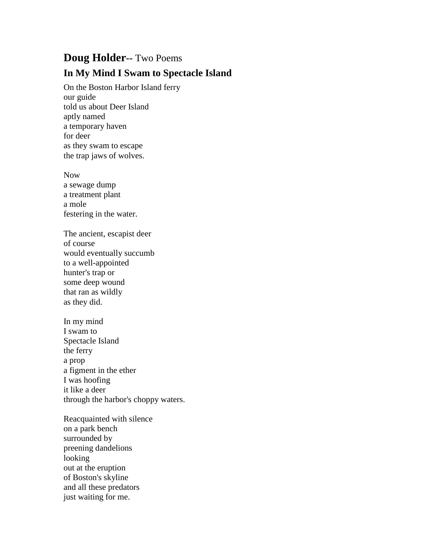## **Doug Holder--** Two Poems **In My Mind I Swam to Spectacle Island**

On the Boston Harbor Island ferry our guide told us about Deer Island aptly named a temporary haven for deer as they swam to escape the trap jaws of wolves.

Now a sewage dump a treatment plant a mole festering in the water.

The ancient, escapist deer of course would eventually succumb to a well-appointed hunter's trap or some deep wound that ran as wildly as they did.

In my mind I swam to Spectacle Island the ferry a prop a figment in the ether I was hoofing it like a deer through the harbor's choppy waters.

Reacquainted with silence on a park bench surrounded by preening dandelions looking out at the eruption of Boston's skyline and all these predators just waiting for me.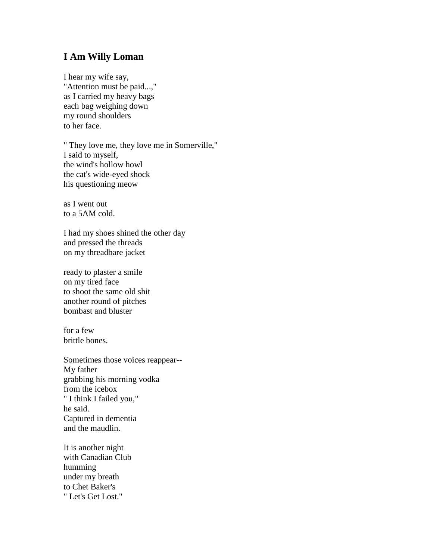## **I Am Willy Loman**

I hear my wife say, "Attention must be paid...," as I carried my heavy bags each bag weighing down my round shoulders to her face.

" They love me, they love me in Somerville," I said to myself, the wind's hollow howl the cat's wide-eyed shock his questioning meow

as I went out to a 5AM cold.

I had my shoes shined the other day and pressed the threads on my threadbare jacket

ready to plaster a smile on my tired face to shoot the same old shit another round of pitches bombast and bluster

for a few brittle bones.

Sometimes those voices reappear-- My father grabbing his morning vodka from the icebox " I think I failed you," he said. Captured in dementia and the maudlin.

It is another night with Canadian Club humming under my breath to Chet Baker's " Let's Get Lost."